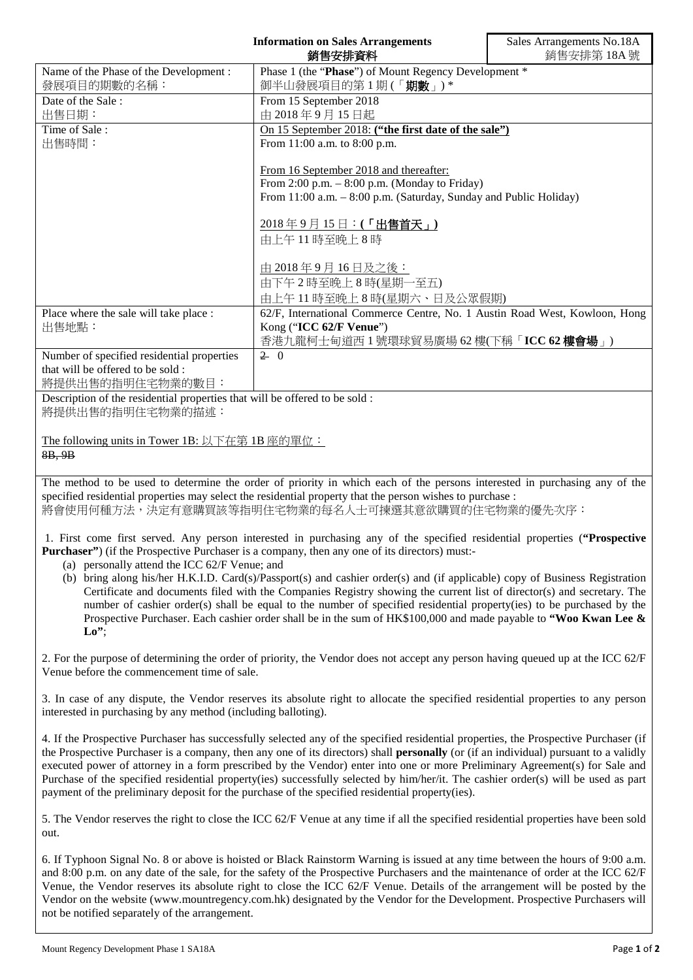|                                                                                                                           | <b>Information on Sales Arrangements</b><br>銷售安排資料                                                                                                                                                                                                                                                                                                                                                                                                           | Sales Arrangements No.18A<br>銷售安排第18A號 |
|---------------------------------------------------------------------------------------------------------------------------|--------------------------------------------------------------------------------------------------------------------------------------------------------------------------------------------------------------------------------------------------------------------------------------------------------------------------------------------------------------------------------------------------------------------------------------------------------------|----------------------------------------|
| Name of the Phase of the Development:                                                                                     | Phase 1 (the "Phase") of Mount Regency Development *                                                                                                                                                                                                                                                                                                                                                                                                         |                                        |
| 發展項目的期數的名稱:                                                                                                               | 御半山發展項目的第1期(「期數」)*                                                                                                                                                                                                                                                                                                                                                                                                                                           |                                        |
| Date of the Sale:                                                                                                         | From 15 September 2018                                                                                                                                                                                                                                                                                                                                                                                                                                       |                                        |
| 出售日期:                                                                                                                     | 由 2018年9月15日起                                                                                                                                                                                                                                                                                                                                                                                                                                                |                                        |
| Time of Sale:                                                                                                             | On 15 September 2018: ("the first date of the sale")                                                                                                                                                                                                                                                                                                                                                                                                         |                                        |
| 出售時間:                                                                                                                     | From 11:00 a.m. to 8:00 p.m.                                                                                                                                                                                                                                                                                                                                                                                                                                 |                                        |
|                                                                                                                           |                                                                                                                                                                                                                                                                                                                                                                                                                                                              |                                        |
|                                                                                                                           | From 16 September 2018 and thereafter:                                                                                                                                                                                                                                                                                                                                                                                                                       |                                        |
|                                                                                                                           | From 2:00 p.m. - 8:00 p.m. (Monday to Friday)                                                                                                                                                                                                                                                                                                                                                                                                                |                                        |
|                                                                                                                           | From 11:00 a.m. - 8:00 p.m. (Saturday, Sunday and Public Holiday)                                                                                                                                                                                                                                                                                                                                                                                            |                                        |
|                                                                                                                           |                                                                                                                                                                                                                                                                                                                                                                                                                                                              |                                        |
|                                                                                                                           | 2018年9月15日:(「出售首天」)                                                                                                                                                                                                                                                                                                                                                                                                                                          |                                        |
|                                                                                                                           | 由上午11時至晚上8時                                                                                                                                                                                                                                                                                                                                                                                                                                                  |                                        |
|                                                                                                                           |                                                                                                                                                                                                                                                                                                                                                                                                                                                              |                                        |
|                                                                                                                           | <u>由 2018年9月16日及之後:</u>                                                                                                                                                                                                                                                                                                                                                                                                                                      |                                        |
|                                                                                                                           | 由下午2時至晚上8時(星期一至五)                                                                                                                                                                                                                                                                                                                                                                                                                                            |                                        |
|                                                                                                                           | 由上午11時至晚上8時(星期六、日及公眾假期)                                                                                                                                                                                                                                                                                                                                                                                                                                      |                                        |
| Place where the sale will take place :                                                                                    | 62/F, International Commerce Centre, No. 1 Austin Road West, Kowloon, Hong                                                                                                                                                                                                                                                                                                                                                                                   |                                        |
| 出售地點:                                                                                                                     | Kong ("ICC 62/F Venue")                                                                                                                                                                                                                                                                                                                                                                                                                                      |                                        |
|                                                                                                                           | 香港九龍柯士甸道西1號環球貿易廣場 62樓(下稱「ICC 62樓會場」)                                                                                                                                                                                                                                                                                                                                                                                                                         |                                        |
| Number of specified residential properties                                                                                | $2 \ 0$                                                                                                                                                                                                                                                                                                                                                                                                                                                      |                                        |
| that will be offered to be sold:                                                                                          |                                                                                                                                                                                                                                                                                                                                                                                                                                                              |                                        |
| 將提供出售的指明住宅物業的數目:                                                                                                          |                                                                                                                                                                                                                                                                                                                                                                                                                                                              |                                        |
| Description of the residential properties that will be offered to be sold:                                                |                                                                                                                                                                                                                                                                                                                                                                                                                                                              |                                        |
| 將提供出售的指明住宅物業的描述:                                                                                                          |                                                                                                                                                                                                                                                                                                                                                                                                                                                              |                                        |
|                                                                                                                           |                                                                                                                                                                                                                                                                                                                                                                                                                                                              |                                        |
| The following units in Tower 1B: 以下在第 1B 座的單位:                                                                            |                                                                                                                                                                                                                                                                                                                                                                                                                                                              |                                        |
| 8B, 9B                                                                                                                    |                                                                                                                                                                                                                                                                                                                                                                                                                                                              |                                        |
|                                                                                                                           |                                                                                                                                                                                                                                                                                                                                                                                                                                                              |                                        |
| The method to be used to determine the order of priority in which each of the persons interested in purchasing any of the |                                                                                                                                                                                                                                                                                                                                                                                                                                                              |                                        |
| specified residential properties may select the residential property that the person wishes to purchase :                 |                                                                                                                                                                                                                                                                                                                                                                                                                                                              |                                        |
| 將會使用何種方法,決定有意購買該等指明住宅物業的每名人士可揀選其意欲購買的住宅物業的優先次序:                                                                           |                                                                                                                                                                                                                                                                                                                                                                                                                                                              |                                        |
| 1. First come first served. Any person interested in purchasing any of the specified residential properties ("Prospective |                                                                                                                                                                                                                                                                                                                                                                                                                                                              |                                        |
| Purchaser") (if the Prospective Purchaser is a company, then any one of its directors) must:-                             |                                                                                                                                                                                                                                                                                                                                                                                                                                                              |                                        |
| (a) personally attend the ICC 62/F Venue; and                                                                             |                                                                                                                                                                                                                                                                                                                                                                                                                                                              |                                        |
|                                                                                                                           | $\mathcal{L}(\mathbf{x}) = \mathbf{1} \cdot \mathbf{1} + \mathbf{1} \cdot \mathbf{1} + \mathbf{1} \cdot \mathbf{1} + \mathbf{1} \cdot \mathbf{1} + \mathbf{1} \cdot \mathbf{1} + \mathbf{1} \cdot \mathbf{1} + \mathbf{1} \cdot \mathbf{1} + \mathbf{1} \cdot \mathbf{1} + \mathbf{1} \cdot \mathbf{1} + \mathbf{1} \cdot \mathbf{1} + \mathbf{1} \cdot \mathbf{1} + \mathbf{1} \cdot \mathbf{1} + \mathbf{1} \cdot \mathbf{1} + \mathbf{1} \cdot \mathbf{1$ |                                        |

(b) bring along his/her H.K.I.D. Card(s)/Passport(s) and cashier order(s) and (if applicable) copy of Business Registration Certificate and documents filed with the Companies Registry showing the current list of director(s) and secretary. The number of cashier order(s) shall be equal to the number of specified residential property(ies) to be purchased by the Prospective Purchaser. Each cashier order shall be in the sum of HK\$100,000 and made payable to **"Woo Kwan Lee &**   $\mathbf{L} \mathbf{0}$ <sup>\*</sup>;

2. For the purpose of determining the order of priority, the Vendor does not accept any person having queued up at the ICC 62/F Venue before the commencement time of sale.

3. In case of any dispute, the Vendor reserves its absolute right to allocate the specified residential properties to any person interested in purchasing by any method (including balloting).

4. If the Prospective Purchaser has successfully selected any of the specified residential properties, the Prospective Purchaser (if the Prospective Purchaser is a company, then any one of its directors) shall **personally** (or (if an individual) pursuant to a validly executed power of attorney in a form prescribed by the Vendor) enter into one or more Preliminary Agreement(s) for Sale and Purchase of the specified residential property(ies) successfully selected by him/her/it. The cashier order(s) will be used as part payment of the preliminary deposit for the purchase of the specified residential property(ies).

5. The Vendor reserves the right to close the ICC 62/F Venue at any time if all the specified residential properties have been sold out.

6. If Typhoon Signal No. 8 or above is hoisted or Black Rainstorm Warning is issued at any time between the hours of 9:00 a.m. and 8:00 p.m. on any date of the sale, for the safety of the Prospective Purchasers and the maintenance of order at the ICC 62/F Venue, the Vendor reserves its absolute right to close the ICC 62/F Venue. Details of the arrangement will be posted by the Vendor on the website (www.mountregency.com.hk) designated by the Vendor for the Development. Prospective Purchasers will not be notified separately of the arrangement.